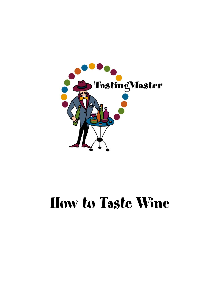

# How to Taste Wine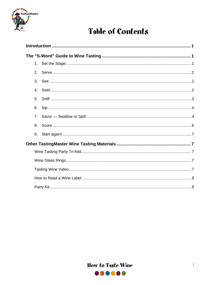

# **Table of Contents**

| 2.             |  |  |  |  |  |  |
|----------------|--|--|--|--|--|--|
| 3 <sub>1</sub> |  |  |  |  |  |  |
| $\mathbf{4}$ . |  |  |  |  |  |  |
| 5.             |  |  |  |  |  |  |
| 6.             |  |  |  |  |  |  |
| 7 <sub>1</sub> |  |  |  |  |  |  |
| 8.             |  |  |  |  |  |  |
| 9.             |  |  |  |  |  |  |
|                |  |  |  |  |  |  |
|                |  |  |  |  |  |  |
|                |  |  |  |  |  |  |
|                |  |  |  |  |  |  |
|                |  |  |  |  |  |  |
|                |  |  |  |  |  |  |

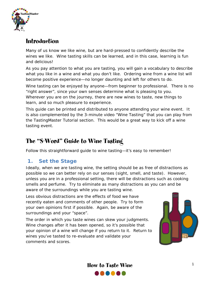<span id="page-2-0"></span>

## Introduction

Many of us know we like wine, but are hard-pressed to confidently describe the wines we like. Wine tasting skills can be learned, and in this case, learning is fun and delicious!

As you pay attention to what you are tasting, you will gain a vocabulary to describe what you like in a wine and what you don't like. Ordering wine from a wine list will become positive experience—no longer daunting and left for others to do.

Wine tasting can be enjoyed by anyone—from beginner to professional. There is no "right answer", since your own senses determine what is pleasing to you. Wherever you are on the journey, there are new wines to taste, new things to learn, and so much pleasure to experience.

This guide can be printed and distributed to anyone attending your wine event. It is also complemented by the 3-minute video "Wine Tasting" that you can play from the TastingMaster Tutorial section. This would be a great way to kick off a wine tasting event.

## The "S-Word" Guide to Wine Tasting

Follow this straightforward guide to wine tasting—it's easy to remember!

## **1. Set the Stage**

Ideally, when we are tasting wine, the setting should be as free of distractions as possible so we can better rely on our senses (sight, smell, and taste). However, unless you are in a professional setting, there will be distractions such as cooking smells and perfume. Try to eliminate as many distractions as you can and be aware of the surroundings while you are tasting wine.

Less obvious distractions are the effects of food we have recently eaten and comments of other people. Try to form your own opinions first if possible. Again, be aware of the surroundings and your "space".

The order in which you taste wines can skew your judgments. Wine changes after it has been opened, so it's possible that your opinion of a wine will change if you return to it. Return to wines you've tasted to re-evaluate and validate your comments and scores.



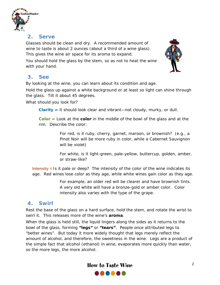<span id="page-3-0"></span>

## **2. Serve**

Glasses should be clean and dry. A recommended amount of wine to taste is about 2 ounces (about a third of a wine glass). This gives the wine air space for its aroma to expand.





## **3. See**

By looking at the wine, you can learn about its condition and age.

Hold the glass up against a white background or at least so light can shine through the glass. Tilt it about 45 degrees.

What should you look for?

**Clarity =** it should look clear and vibrant—not cloudy, murky, or dull.

**Color =** Look at the **color** in the middle of the bowl of the glass and at the rim. Describe the color:

> For red, is it ruby, cherry, garnet, maroon, or brownish? (e.g., a Pinot Noir will be more ruby in color, while a Cabernet Sauvignon will be violet)

For white, is it light-green, pale-yellow, buttercup, golden, amber, or straw-like?

**Intensity =** Is it pale or deep? The intensity of the color of the wine indicates its age. Red wines lose color as they age, while white wines gain color as they age.

> For example, an older red will be clearer and have brownish tints. A very old white will have a bronze-gold or amber color. Color intensity also varies with the type of the grape.

## **4. Swirl**

Rest the base of the glass on a hard surface, hold the stem, and rotate the wrist to swirl it. This releases more of the wine's **aroma**.

When the glass is held still, the liquid lingers along the sides as it returns to the bowl of the glass, forming **"legs"** or **"tears"**. People once attributed legs to "better wines". But today it more widely thought that legs merely reflect the amount of alcohol, and therefore, the sweetness in the wine. Legs are a product of the simple fact that alcohol (ethanol) in wine, evaporates more quickly than water, so the more legs, the more alcohol.

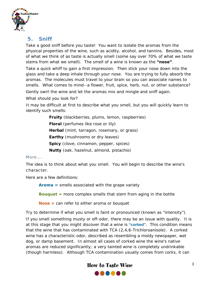<span id="page-4-0"></span>

## **5. Sniff**

Take a good sniff before you taste! You want to isolate the aromas from the physical properties of the wine, such as acidity, alcohol, and tannins. Besides, most of what we think of as taste is actually smell (some say over 70% of what we taste stems from what we smell). The smell of a wine is known as the **"nose"**.

Take a quick whiff to gain a first impression. Then stick your nose down into the glass and take a deep inhale through your nose. You are trying to fully absorb the aromas. The molecules must travel to your brain so you can associate names to smells. What comes to mind--a flower, fruit, spice, herb, nut, or other substance? Gently swirl the wine and let the aromas mix and mingle and sniff again.

What should you look for?

It may be difficult at first to describe what you smell, but you will quickly learn to identify such smells:

> **Fruity** (blackberries, plums, lemon, raspberries) **Floral** (perfumes like rose or lily) **Herbal** (mint, tarragon, rosemary, or grass) **Earthy** (mushrooms or dry leaves) **Spicy** (clove, cinnamon, pepper, spices) **Nutty** (oak, hazelnut, almond, pistachio)

#### More….

The idea is to *think* about what you smell. You will begin to describe the wine's character.

Here are a few definitions:

**Aroma =** smells associated with the grape variety

**Bouquet =** more complex smells that stem from aging in the bottle

**Nose =** can refer to either aroma or bouquet

Try to determine if what you smell is faint or pronounced (known as "intensity"). If you smell something musty or off-odor, there may be an issue with quality. It is at this stage that you might discover that a wine is **"corked"**. This condition means that the wine that has contaminated with TCA (2,4,6-Trichloroanisole). A corked wine has a characteristic odor, described as resembling a moldy newspaper, wet dog, or damp basement. In almost all cases of corked wine the wine's native aromas are reduced significantly; a very tainted wine is completely undrinkable (though harmless). Although TCA contamination usually comes from corks, it can

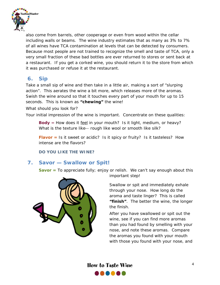<span id="page-5-0"></span>

also come from barrels, other cooperage or even from wood within the cellar including walls or beams. The wine industry estimates that as many as 3% to 7% of all wines have TCA contamination at levels that can be detected by consumers. Because most people are not trained to recognize the smell and taste of TCA, only a very small fraction of these bad bottles are ever returned to stores or sent back at a restaurant. If you get a corked wine, you should return it to the store from which it was purchased or refuse it at the restaurant.

## **6. Sip**

Take a small sip of wine and then take in a little air, making a sort of "slurping action". This aerates the wine a bit more, which releases more of the aromas. Swish the wine around so that it touches every part of your mouth for up to 15 seconds. This is known as **"chewing"** the wine!

What should you look for?

Your initial impression of the wine is important. Concentrate on these qualities:

**Body** = How does it feel in your mouth? Is it *light*, *medium*, or *heavy*? What is the texture like-- *rough* like wool or *smooth* like silk?

**Flavor =** Is it sweet or acidic? Is it spicy or fruity? Is it tasteless? How intense are the flavors?

*DO YOU LIKE THE WINE?* 

## **7. Savor — Swallow or Spit!**

**Savor** = To appreciate fully; enjoy or relish. We can't say enough about this



important step!

Swallow or spit and immediately exhale "finish". The better the wine, the longer through your nose. How long do the aroma and taste linger? This is called the finish.

After you have swallowed or spit out the than you had found by smelling with your wine, see if you can find more aromas nose, and note these aromas. Compare the aromas you found with your mouth with those you found with your nose, and

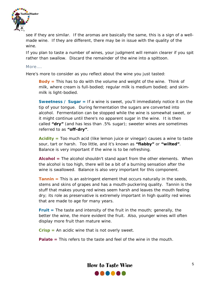

see if they are similar. If the aromas are basically the same, this is a sign of a wellmade wine. If they are different, there may be in issue with the quality of the wine.

If you plan to taste a number of wines, your judgment will remain clearer if you spit rather than swallow. Discard the remainder of the wine into a spittoon.

#### More….

Here's more to consider as you reflect about the wine you just tasted:

**Body =** This has to do with the volume and weight of the wine. Think of milk, where cream is full-bodied; regular milk is medium bodied; and skimmilk is light-bodied.

**Sweetness / Sugar =** If a wine is sweet, you'll immediately notice it on the tip of your tongue. During fermentation the sugars are converted into alcohol. Fermentation can be stopped while the wine is somewhat sweet, or it might continue until there's no apparent sugar in the wine. It is then called **"dry"** (and has less than .5% sugar); sweeter wines are sometimes referred to as **"off-dry"**.

**Acidity =** Too much acid (like lemon juice or vinegar) causes a wine to taste sour, tart or harsh. Too little, and it's known as **"flabby"** or **"wilted"**. Balance is very important if the wine is to be refreshing.

**Alcohol =** The alcohol shouldn't stand apart from the other elements. When the alcohol is too high, there will be a bit of a burning sensation after the wine is swallowed. Balance is also very important for this component.

**Tannin** = This is an astringent element that occurs naturally in the seeds, stems and skins of grapes and has a mouth-puckering quality. Tannin is the stuff that makes young red wines seem harsh and leaves the mouth feeling dry; its role as preservative is extremely important in high quality red wines that are made to age for many years.

**Fruit =** The taste and intensity of the fruit in the mouth; generally, the better the wine, the more evident the fruit. Also, younger wines will often display more fruit than mature wine.

**Crisp =** An acidic wine that is not overly sweet.

**Palate =** This refers to the taste and feel of the wine in the mouth.

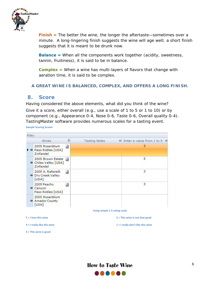<span id="page-7-0"></span>

**Finish =** The better the wine, the longer the aftertaste—sometimes over a minute. A long-lingering finish suggests the wine will age well; a short finish suggests that it is meant to be drunk now.

**Balance =** When all the components work together (acidity, sweetness, tannin, fruitiness), it is said to be in balance.

**Complex =** When a wine has multi-layers of flavors that change with aeration time, it is said to be complex.

#### *A GREAT WINE IS BALANCED, COMPLEX, AND OFFERS A LONG FINISH.*

#### **8. Score**

Having considered the above elements, what did you think of the wine? Give it a score, either overall (e.g., use a scale of 1 to 5 or 1 to 10) or by component (e.g., Appearance 0-4, Nose 0-6, Taste 0-6, Overall quality 0-4). TastingMaster software provides numerous scales for a tasting event.

**Sample Scoring Screen**

| Riley                  |                                                         |          |                                       |                                 |
|------------------------|---------------------------------------------------------|----------|---------------------------------------|---------------------------------|
|                        | Wines                                                   | 4        | <b>Tasting Notes</b><br>$\frac{1}{2}$ | Enter a value from 1 to 5 $\pm$ |
|                        | 2005 Rosenblum<br>▶ + Paso Robles [USA]<br>Zinfandel    | Ż        |                                       | 3                               |
|                        | 2005 Brown Estate<br>+ Chiles Valley [USA]<br>Zinfandel | <b>S</b> |                                       | 5                               |
|                        | 2005 A. Rafanelli<br><b>P</b> Dry Creek Valley<br>[USA] | ₹        |                                       | з                               |
|                        | 2005 Peachy<br>+ Canyon<br>Paso Robles [USA]            | J,       |                                       | 3                               |
|                        | 2005 Rosenblum<br>+ Amador County<br>[USA]              |          |                                       |                                 |
|                        |                                                         |          | Using simple 1-5 rating scale         |                                 |
| $5 = 1$ love this wine |                                                         |          | $2 =$ This wine is not that good      |                                 |

**4 = I really like this wine 1 = I really don't like this wine**

**3 = This wine is good**

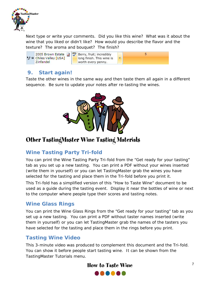<span id="page-8-0"></span>

Next type or write your comments. Did you like this wine? What was it about the wine that you liked or didn't like? How would you describe the flavor and the texture? The aroma and bouquet? The finish?



## **9. Start again!**

Taste the other wines in the same way and then taste them all again in a different sequence. Be sure to update your notes after re-tasting the wines.



# Other TastingMaster Wine Tasting Materials

## **Wine Tasting Party Tri-fold**

You can print the Wine Tasting Party Tri-fold from the "Get ready for your tasting" tab as you set up a new tasting. You can print a PDF without your wines inserted (write them in yourself) or you can let TastingMaster grab the wines you have selected for the tasting and place them in the Tri-fold before you print it.

This Tri-fold has a simplified version of this "How to Taste Wine" document to be used as a guide during the tasting event. Display it near the bottles of wine or next to the computer where people type their scores and tasting notes.

## **Wine Glass Rings**

You can print the Wine Glass Rings from the "Get ready for your tasting" tab as you set up a new tasting. You can print a PDF without taster names inserted (write them in yourself) or you can let TastingMaster grab the names of the tasters you have selected for the tasting and place them in the rings before you print.

## **Tasting Wine Video**

This 3-minute video was produced to complement this document and the Tri-fold. You can show it before people start tasting wine. It can be shown from the TastingMaster Tutorials menu.